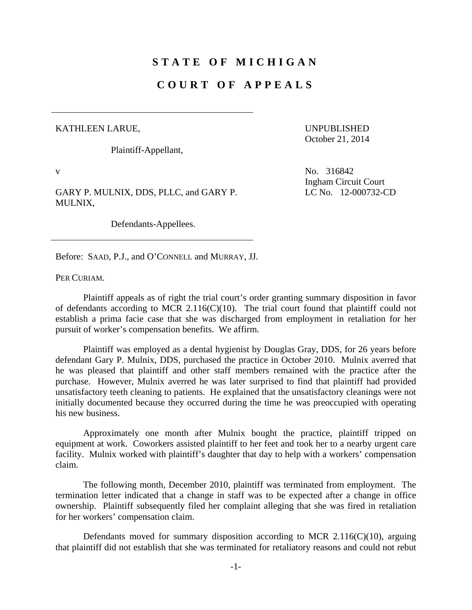## **STATE OF MICHIGAN**

## **COURT OF APPEALS**

## KATHLEEN LARUE,

Plaintiff-Appellant,

UNPUBLISHED October 21, 2014

GARY P. MULNIX, DDS, PLLC, and GARY P. MULNIX,

Defendants-Appellees.

v  $N_0$ . 316842 Ingham Circuit Court LC No. 12-000732-CD

Before: SAAD, P.J., and O'CONNELL and MURRAY, JJ.

PER CURIAM.

 Plaintiff appeals as of right the trial court's order granting summary disposition in favor of defendants according to MCR 2.116(C)(10). The trial court found that plaintiff could not establish a prima facie case that she was discharged from employment in retaliation for her pursuit of worker's compensation benefits. We affirm.

 Plaintiff was employed as a dental hygienist by Douglas Gray, DDS, for 26 years before defendant Gary P. Mulnix, DDS, purchased the practice in October 2010. Mulnix averred that he was pleased that plaintiff and other staff members remained with the practice after the purchase. However, Mulnix averred he was later surprised to find that plaintiff had provided unsatisfactory teeth cleaning to patients. He explained that the unsatisfactory cleanings were not initially documented because they occurred during the time he was preoccupied with operating his new business.

 Approximately one month after Mulnix bought the practice, plaintiff tripped on equipment at work. Coworkers assisted plaintiff to her feet and took her to a nearby urgent care facility. Mulnix worked with plaintiff's daughter that day to help with a workers' compensation claim.

 The following month, December 2010, plaintiff was terminated from employment. The termination letter indicated that a change in staff was to be expected after a change in office ownership. Plaintiff subsequently filed her complaint alleging that she was fired in retaliation for her workers' compensation claim.

Defendants moved for summary disposition according to MCR 2.116( $C(10)$ , arguing that plaintiff did not establish that she was terminated for retaliatory reasons and could not rebut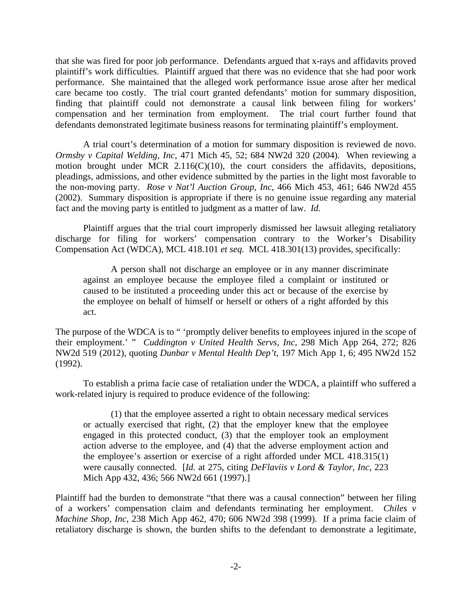that she was fired for poor job performance. Defendants argued that x-rays and affidavits proved plaintiff's work difficulties. Plaintiff argued that there was no evidence that she had poor work performance. She maintained that the alleged work performance issue arose after her medical care became too costly. The trial court granted defendants' motion for summary disposition, finding that plaintiff could not demonstrate a causal link between filing for workers' compensation and her termination from employment. The trial court further found that defendants demonstrated legitimate business reasons for terminating plaintiff's employment.

 A trial court's determination of a motion for summary disposition is reviewed de novo. *Ormsby v Capital Welding, Inc*, 471 Mich 45, 52; 684 NW2d 320 (2004). When reviewing a motion brought under MCR 2.116(C)(10), the court considers the affidavits, depositions, pleadings, admissions, and other evidence submitted by the parties in the light most favorable to the non-moving party. *Rose v Nat'l Auction Group, Inc*, 466 Mich 453, 461; 646 NW2d 455 (2002). Summary disposition is appropriate if there is no genuine issue regarding any material fact and the moving party is entitled to judgment as a matter of law. *Id.*

 Plaintiff argues that the trial court improperly dismissed her lawsuit alleging retaliatory discharge for filing for workers' compensation contrary to the Worker's Disability Compensation Act (WDCA), MCL 418.101 *et seq.* MCL 418.301(13) provides, specifically:

 A person shall not discharge an employee or in any manner discriminate against an employee because the employee filed a complaint or instituted or caused to be instituted a proceeding under this act or because of the exercise by the employee on behalf of himself or herself or others of a right afforded by this act.

The purpose of the WDCA is to " 'promptly deliver benefits to employees injured in the scope of their employment.' " *Cuddington v United Health Servs, Inc*, 298 Mich App 264, 272; 826 NW2d 519 (2012), quoting *Dunbar v Mental Health Dep't*, 197 Mich App 1, 6; 495 NW2d 152 (1992).

 To establish a prima facie case of retaliation under the WDCA, a plaintiff who suffered a work-related injury is required to produce evidence of the following:

 (1) that the employee asserted a right to obtain necessary medical services or actually exercised that right, (2) that the employer knew that the employee engaged in this protected conduct,  $(3)$  that the employer took an employment action adverse to the employee, and (4) that the adverse employment action and the employee's assertion or exercise of a right afforded under MCL 418.315(1) were causally connected. [*Id.* at 275, citing *DeFlaviis v Lord & Taylor, Inc*, 223 Mich App 432, 436; 566 NW2d 661 (1997).]

Plaintiff had the burden to demonstrate "that there was a causal connection" between her filing of a workers' compensation claim and defendants terminating her employment. *Chiles v Machine Shop, Inc*, 238 Mich App 462, 470; 606 NW2d 398 (1999). If a prima facie claim of retaliatory discharge is shown, the burden shifts to the defendant to demonstrate a legitimate,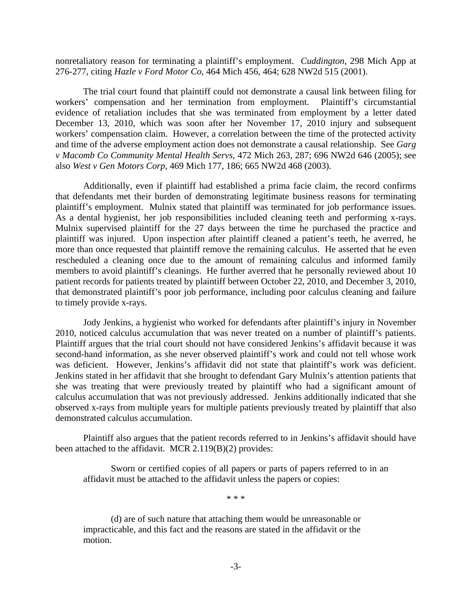nonretaliatory reason for terminating a plaintiff's employment. *Cuddington*, 298 Mich App at 276-277, citing *Hazle v Ford Motor Co*, 464 Mich 456, 464; 628 NW2d 515 (2001).

 The trial court found that plaintiff could not demonstrate a causal link between filing for workers' compensation and her termination from employment. Plaintiff's circumstantial evidence of retaliation includes that she was terminated from employment by a letter dated December 13, 2010, which was soon after her November 17, 2010 injury and subsequent workers' compensation claim. However, a correlation between the time of the protected activity and time of the adverse employment action does not demonstrate a causal relationship. See *Garg v Macomb Co Community Mental Health Servs*, 472 Mich 263, 287; 696 NW2d 646 (2005); see also *West v Gen Motors Corp*, 469 Mich 177, 186; 665 NW2d 468 (2003).

 Additionally, even if plaintiff had established a prima facie claim, the record confirms that defendants met their burden of demonstrating legitimate business reasons for terminating plaintiff's employment. Mulnix stated that plaintiff was terminated for job performance issues. As a dental hygienist, her job responsibilities included cleaning teeth and performing x-rays. Mulnix supervised plaintiff for the 27 days between the time he purchased the practice and plaintiff was injured. Upon inspection after plaintiff cleaned a patient's teeth, he averred, he more than once requested that plaintiff remove the remaining calculus. He asserted that he even rescheduled a cleaning once due to the amount of remaining calculus and informed family members to avoid plaintiff's cleanings. He further averred that he personally reviewed about 10 patient records for patients treated by plaintiff between October 22, 2010, and December 3, 2010, that demonstrated plaintiff's poor job performance, including poor calculus cleaning and failure to timely provide x-rays.

 Jody Jenkins, a hygienist who worked for defendants after plaintiff's injury in November 2010, noticed calculus accumulation that was never treated on a number of plaintiff's patients. Plaintiff argues that the trial court should not have considered Jenkins's affidavit because it was second-hand information, as she never observed plaintiff's work and could not tell whose work was deficient. However, Jenkins's affidavit did not state that plaintiff's work was deficient. Jenkins stated in her affidavit that she brought to defendant Gary Mulnix's attention patients that she was treating that were previously treated by plaintiff who had a significant amount of calculus accumulation that was not previously addressed. Jenkins additionally indicated that she observed x-rays from multiple years for multiple patients previously treated by plaintiff that also demonstrated calculus accumulation.

 Plaintiff also argues that the patient records referred to in Jenkins's affidavit should have been attached to the affidavit. MCR 2.119(B)(2) provides:

 Sworn or certified copies of all papers or parts of papers referred to in an affidavit must be attached to the affidavit unless the papers or copies:

\* \* \*

 (d) are of such nature that attaching them would be unreasonable or impracticable, and this fact and the reasons are stated in the affidavit or the motion.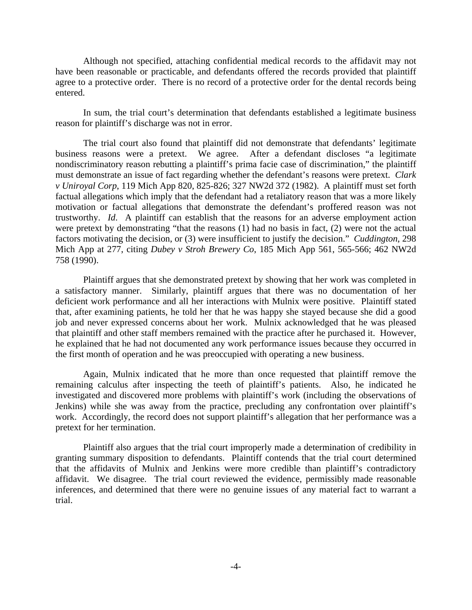Although not specified, attaching confidential medical records to the affidavit may not have been reasonable or practicable, and defendants offered the records provided that plaintiff agree to a protective order. There is no record of a protective order for the dental records being entered.

 In sum, the trial court's determination that defendants established a legitimate business reason for plaintiff's discharge was not in error.

 The trial court also found that plaintiff did not demonstrate that defendants' legitimate business reasons were a pretext. We agree. After a defendant discloses "a legitimate nondiscriminatory reason rebutting a plaintiff's prima facie case of discrimination," the plaintiff must demonstrate an issue of fact regarding whether the defendant's reasons were pretext. *Clark v Uniroyal Corp*, 119 Mich App 820, 825-826; 327 NW2d 372 (1982). A plaintiff must set forth factual allegations which imply that the defendant had a retaliatory reason that was a more likely motivation or factual allegations that demonstrate the defendant's proffered reason was not trustworthy. *Id*. A plaintiff can establish that the reasons for an adverse employment action were pretext by demonstrating "that the reasons (1) had no basis in fact, (2) were not the actual factors motivating the decision, or (3) were insufficient to justify the decision." *Cuddington*, 298 Mich App at 277, citing *Dubey v Stroh Brewery Co*, 185 Mich App 561, 565-566; 462 NW2d 758 (1990).

 Plaintiff argues that she demonstrated pretext by showing that her work was completed in a satisfactory manner. Similarly, plaintiff argues that there was no documentation of her deficient work performance and all her interactions with Mulnix were positive. Plaintiff stated that, after examining patients, he told her that he was happy she stayed because she did a good job and never expressed concerns about her work. Mulnix acknowledged that he was pleased that plaintiff and other staff members remained with the practice after he purchased it. However, he explained that he had not documented any work performance issues because they occurred in the first month of operation and he was preoccupied with operating a new business.

 Again, Mulnix indicated that he more than once requested that plaintiff remove the remaining calculus after inspecting the teeth of plaintiff's patients. Also, he indicated he investigated and discovered more problems with plaintiff's work (including the observations of Jenkins) while she was away from the practice, precluding any confrontation over plaintiff's work. Accordingly, the record does not support plaintiff's allegation that her performance was a pretext for her termination.

 Plaintiff also argues that the trial court improperly made a determination of credibility in granting summary disposition to defendants. Plaintiff contends that the trial court determined that the affidavits of Mulnix and Jenkins were more credible than plaintiff's contradictory affidavit. We disagree. The trial court reviewed the evidence, permissibly made reasonable inferences, and determined that there were no genuine issues of any material fact to warrant a trial.